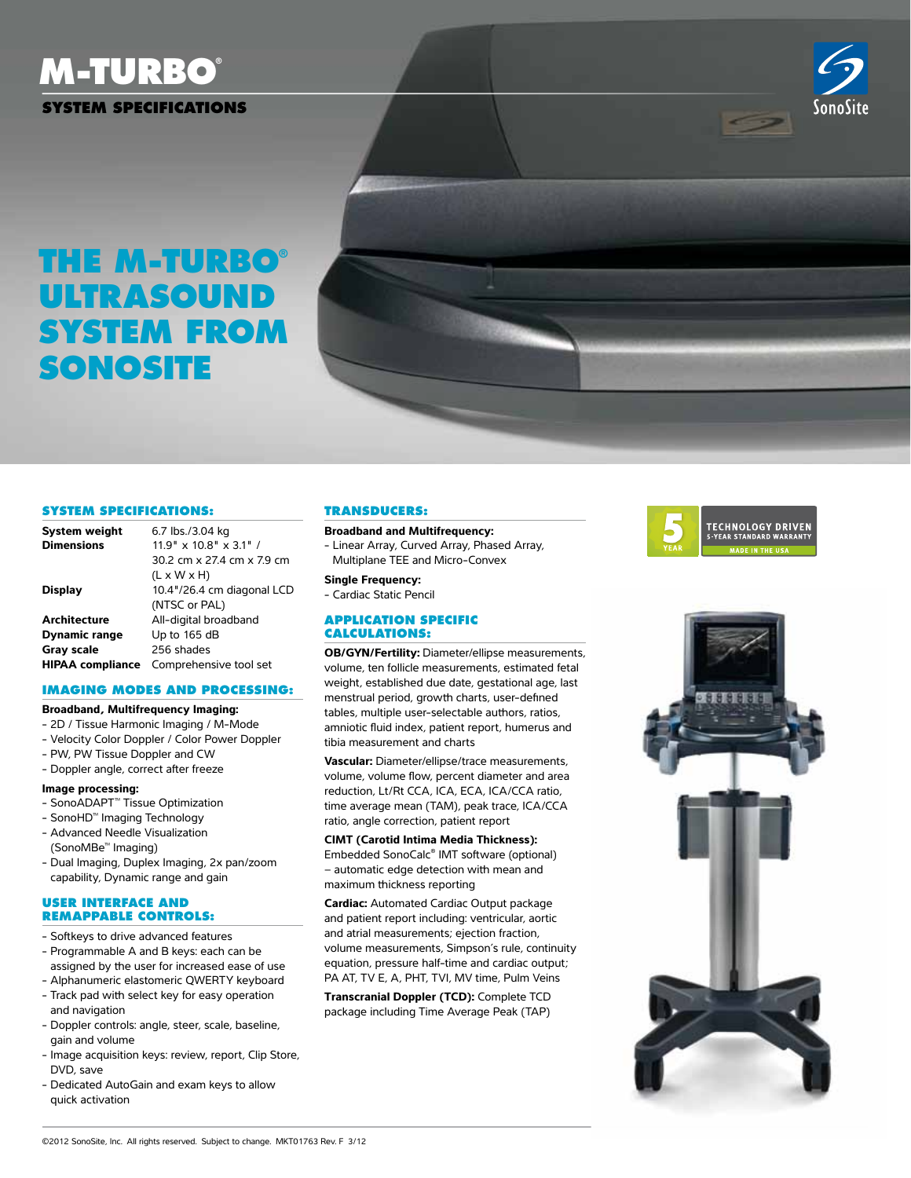# **M-Turbo®**



### **System Specifications**

## **the M-Turbo® Ultrasound System from SonoSite**

30.2 cm x 27.4 cm x 7.9 cm

 $(L \times W \times H)$ **Display** 10.4"/26.4 cm diagonal LCD (NTSC or PAL)

**Architecture** All-digital broadband **Dynamic range** Up to 165 dB Gray scale 256 shades

**HIPAA compliance** Comprehensive tool set **Imaging Modes and Processing:**



#### **Broadband and Multifrequency:**

- Linear Array, Curved Array, Phased Array, Multiplane TEE and Micro-Convex

#### **Single Frequency:**

- Cardiac Static Pencil

#### **Application Specific Calculations:**

**OB/GYN/Fertility:** Diameter/ellipse measurements, volume, ten follicle measurements, estimated fetal weight, established due date, gestational age, last menstrual period, growth charts, user-defined tables, multiple user-selectable authors, ratios, amniotic fluid index, patient report, humerus and tibia measurement and charts

**Vascular:** Diameter/ellipse/trace measurements, volume, volume flow, percent diameter and area reduction, Lt/Rt CCA, ICA, ECA, ICA/CCA ratio, time average mean (TAM), peak trace, ICA/CCA ratio, angle correction, patient report

#### **CIMT (Carotid Intima Media Thickness):**

Embedded SonoCalc® IMT software (optional) – automatic edge detection with mean and maximum thickness reporting

**Cardiac:** Automated Cardiac Output package and patient report including: ventricular, aortic and atrial measurements; ejection fraction, volume measurements, Simpson's rule, continuity equation, pressure half-time and cardiac output; PA AT, TV E, A, PHT, TVI, MV time, Pulm Veins

**Transcranial Doppler (TCD):** Complete TCD package including Time Average Peak (TAP)





#### - Velocity Color Doppler / Color Power Doppler

- PW, PW Tissue Doppler and CW

**System Specifications: System weight** 6.7 lbs./3.04 kg **Dimensions** 11.9" x 10.8" x 3.1" /

- Doppler angle, correct after freeze

**Broadband, Multifrequency Imaging:** - 2D / Tissue Harmonic Imaging / M-Mode

#### **Image processing:**

- SonoADAPT™ Tissue Optimization
- SonoHD™ Imaging Technology
- Advanced Needle Visualization (SonoMBe™ Imaging)
- Dual Imaging, Duplex Imaging, 2x pan/zoom capability, Dynamic range and gain

#### **User Interface and Remappable Controls:**

- Softkeys to drive advanced features
- Programmable A and B keys: each can be assigned by the user for increased ease of use
- Alphanumeric elastomeric QWERTY keyboard - Track pad with select key for easy operation
- and navigation
- Doppler controls: angle, steer, scale, baseline, gain and volume
- Image acquisition keys: review, report, Clip Store, DVD, save
- Dedicated AutoGain and exam keys to allow quick activation